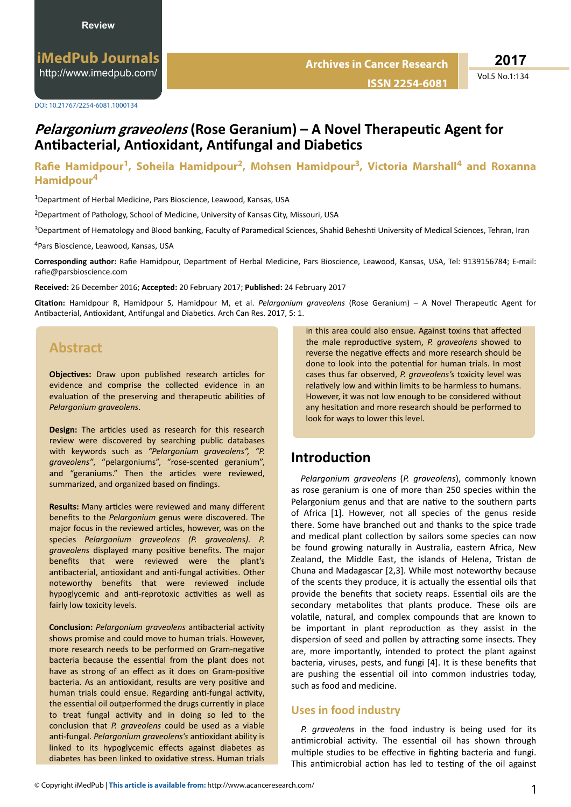**ISSN 2254-6081**

Vol.5 No.1:134

# *Pelargonium graveolens* **(Rose Geranium) – A Novel Therapeutic Agent for Antibacterial, Antioxidant, Antifungal and Diabetics**

## **Rafie Hamidpour<sup>1</sup>, Soheila Hamidpour<sup>2</sup>, Mohsen Hamidpour<sup>3</sup>, Victoria Marshall<sup>4</sup> and Roxanna Hamidpour<sup>4</sup>**

<sup>1</sup>Department of Herbal Medicine, Pars Bioscience, Leawood, Kansas, USA

<sup>2</sup>Department of Pathology, School of Medicine, University of Kansas City, Missouri, USA

<sup>3</sup>Department of Hematology and Blood banking, Faculty of Paramedical Sciences, Shahid Beheshti University of Medical Sciences, Tehran, Iran

<sup>4</sup>Pars Bioscience, Leawood, Kansas, USA

Corresponding author: Rafie Hamidpour, Department of Herbal Medicine, Pars Bioscience, Leawood, Kansas, USA, Tel: 9139156784; E-mail: rafie@parsbioscience.com

**Received:** 26 December 2016; **Accepted:** 20 February 2017; **Published:** 24 February 2017

Citation: Hamidpour R, Hamidpour S, Hamidpour M, et al. *Pelargonium graveolens* (Rose Geranium) – A Novel Therapeutic Agent for Antibacterial, Antioxidant, Antifungal and Diabetics. Arch Can Res. 2017, 5: 1.

## **Abstract**

**Objectives:** Draw upon published research articles for evidence and comprise the collected evidence in an evaluation of the preserving and therapeutic abilities of *Pelargonium graveolens*.

**Design:** The articles used as research for this research review were discovered by searching public databases with keywords such as *"Pelargonium graveolens", "P. graveolens"*, "pelargoniums", "rose-scented geranium", and "geraniums." Then the articles were reviewed, summarized, and organized based on findings.

Results: Many articles were reviewed and many different benefits to the *Pelargonium* genus were discovered. The major focus in the reviewed articles, however, was on the species *Pelargonium graveolens (P. graveolens). P.* graveolens displayed many positive benefits. The major benefits that were reviewed were the plant's antibacterial, antioxidant and anti-fungal activities. Other noteworthy benefits that were reviewed include hypoglycemic and anti-reprotoxic activities as well as fairly low toxicity levels.

**Conclusion:** *Pelargonium graveolens* antibacterial activity shows promise and could move to human trials. However, more research needs to be performed on Gram-negative bacteria because the essential from the plant does not have as strong of an effect as it does on Gram-positive bacteria. As an antioxidant, results are very positive and human trials could ensue. Regarding anti-fungal activity, the essential oil outperformed the drugs currently in place to treat fungal activity and in doing so led to the conclusion that *P. graveolens* could be used as a viable anti-fungal. Pelargonium graveolens's antioxidant ability is linked to its hypoglycemic effects against diabetes as diabetes has been linked to oxidative stress. Human trials in this area could also ensue. Against toxins that affected the male reproductive system, *P. graveolens* showed to reverse the negative effects and more research should be done to look into the potential for human trials. In most cases thus far observed, *P. graveolens's* toxicity level was relatively low and within limits to be harmless to humans. However, it was not low enough to be considered without any hesitation and more research should be performed to look for ways to lower this level.

## **Introduction**

*Pelargonium graveolens* (*P. graveolens*), commonly known as rose geranium is one of more than 250 species within the Pelargonium genus and that are native to the southern parts of Africa [1]. However, not all species of the genus reside there. Some have branched out and thanks to the spice trade and medical plant collection by sailors some species can now be found growing naturally in Australia, eastern Africa, New Zealand, the Middle East, the islands of Helena, Tristan de Chuna and Madagascar [2,3]. While most noteworthy because of the scents they produce, it is actually the essential oils that provide the benefits that society reaps. Essential oils are the secondary metabolites that plants produce. These oils are volatile, natural, and complex compounds that are known to be important in plant reproduction as they assist in the dispersion of seed and pollen by attracting some insects. They are, more importantly, intended to protect the plant against bacteria, viruses, pests, and fungi [4]. It is these benefits that are pushing the essential oil into common industries today, such as food and medicine.

### **Uses in food industry**

*P. graveolens* in the food industry is being used for its antimicrobial activity. The essential oil has shown through multiple studies to be effective in fighting bacteria and fungi. This antimicrobial action has led to testing of the oil against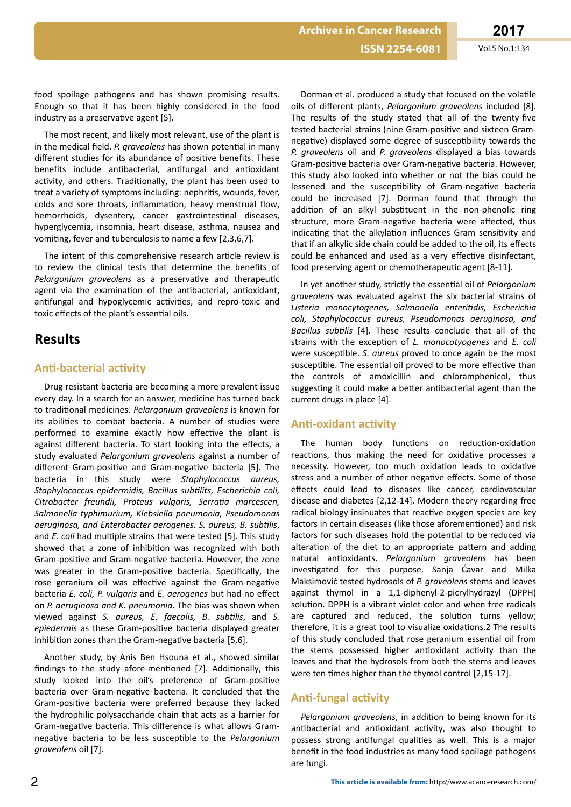**ISSN 2254-6081** Vol.5 No.1:134

food spoilage pathogens and has shown promising results. Enough so that it has been highly considered in the food industry as a preservative agent [5].

The most recent, and likely most relevant, use of the plant is in the medical field. P. graveolens has shown potential in many different studies for its abundance of positive benefits. These benefits include antibacterial, antifungal and antioxidant activity, and others. Traditionally, the plant has been used to treat a variety of symptoms including: nephritis, wounds, fever, colds and sore throats, inflammation, heavy menstrual flow, hemorrhoids, dysentery, cancer gastrointestinal diseases, hyperglycemia, insomnia, heart disease, asthma, nausea and vomiting, fever and tuberculosis to name a few [2,3,6,7].

The intent of this comprehensive research article review is to review the clinical tests that determine the benefits of *Pelargonium graveolens* as a preservative and therapeutic agent via the examination of the antibacterial, antioxidant, antifungal and hypoglycemic activities, and repro-toxic and toxic effects of the plant's essential oils.

# **Results**

### **Anti-bacterial activity**

Drug resistant bacteria are becoming a more prevalent issue every day. In a search for an answer, medicine has turned back to traditional medicines. *Pelargonium graveolens* is known for its abilities to combat bacteria. A number of studies were performed to examine exactly how effective the plant is against different bacteria. To start looking into the effects, a study evaluated *Pelargonium graveolens* against a number of different Gram-positive and Gram-negative bacteria [5]. The bacteria in this study were *Staphylococcus aureus, Staphylococcus epidermidis, Bacillus ƐƵbƟůŝƚƐ, Escherichia coli, Citrobacter freundii, Proteus vulgaris, ^ĞƌƌĂƟĂ marcescen, Salmonella typhimurium, Klebsiella pneumonia, Pseudomonas aeruginosa, and Enterobacter aerogenes. S. aureus, B. subtilis,* and *E. coli* had multiple strains that were tested [5]. This study showed that a zone of inhibition was recognized with both Gram-positive and Gram-negative bacteria. However, the zone was greater in the Gram-positive bacteria. Specifically, the rose geranium oil was effective against the Gram-negative bacteria *E. coli, P. vulgaris* and *E. aerogenes* but had no effect on *P. aeruginosa and K. pneumonia*. The bias was shown when viewed against *S. aureus, E. faecalis, B. subtilis*, and *S. epiedermis* as these Gram-positive bacteria displayed greater inhibition zones than the Gram-negative bacteria [5,6].

Another study, by Anis Ben Hsouna et al., showed similar findings to the study afore-mentioned [7]. Additionally, this study looked into the oil's preference of Gram-positive bacteria over Gram-negative bacteria. It concluded that the Gram-positive bacteria were preferred because they lacked the hydrophilic polysaccharide chain that acts as a barrier for Gram-negative bacteria. This difference is what allows Gramnegative bacteria to be less susceptible to the *Pelargonium graveolens* oil [7].

Dorman et al. produced a study that focused on the volatile oils of different plants, *Pelargonium graveolens* included [8]. The results of the study stated that all of the twenty-five tested bacterial strains (nine Gram-positive and sixteen Gramnegative) displayed some degree of susceptibility towards the *P. graveolens* oil and *P. graveolens* displayed a bias towards Gram-positive bacteria over Gram-negative bacteria. However, this study also looked into whether or not the bias could be lessened and the susceptibility of Gram-negative bacteria could be increased [7]. Dorman found that through the addition of an alkyl substituent in the non-phenolic ring structure, more Gram-negative bacteria were affected, thus indicating that the alkylation influences Gram sensitivity and that if an alkylic side chain could be added to the oil, its effects could be enhanced and used as a very effective disinfectant, food preserving agent or chemotherapeutic agent [8-11].

In yet another study, strictly the essential oil of *Pelargonium graveolens* was evaluated against the six bacterial strains of *Listeria monocytogenes, Salmonella ĞŶƚĞƌŝƟĚŝƐ, Escherichia coli, Staphylococcus aureus, Pseudomonas aeruginosa, and* Bacillus subtilis [4]. These results conclude that all of the strains with the exception of *L. monocotyogenes* and *E. coli* were susceptible. S. aureus proved to once again be the most susceptible. The essential oil proved to be more effective than the controls of amoxicillin and chloramphenicol, thus suggesting it could make a better antibacterial agent than the current drugs in place [4].

### **Anti-oxidant activity**

The human body functions on reduction-oxidation reactions, thus making the need for oxidative processes a necessity. However, too much oxidation leads to oxidative stress and a number of other negative effects. Some of those effects could lead to diseases like cancer, cardiovascular disease and diabetes [2,12-14]. Modern theory regarding free radical biology insinuates that reactive oxygen species are key factors in certain diseases (like those aforementioned) and risk factors for such diseases hold the potential to be reduced via alteration of the diet to an appropriate pattern and adding natural antioxidants. Pelargonium graveolens has been investigated for this purpose. Sanja Ćavar and Milka Maksimović tested hydrosols of *P. graveolens* stems and leaves against thymol in a 1,1-diphenyl-2-picrylhydrazyl (DPPH) solution. DPPH is a vibrant violet color and when free radicals are captured and reduced, the solution turns yellow: therefore, it is a great tool to visualize oxidations.2 The results of this study concluded that rose geranium essential oil from the stems possessed higher antioxidant activity than the leaves and that the hydrosols from both the stems and leaves were ten times higher than the thymol control [2,15-17].

### **Anti-fungal activity**

*Pelargonium graveolens, in addition to being known for its* antibacterial and antioxidant activity, was also thought to possess strong antifungal qualities as well. This is a major benefit in the food industries as many food spoilage pathogens are fungi.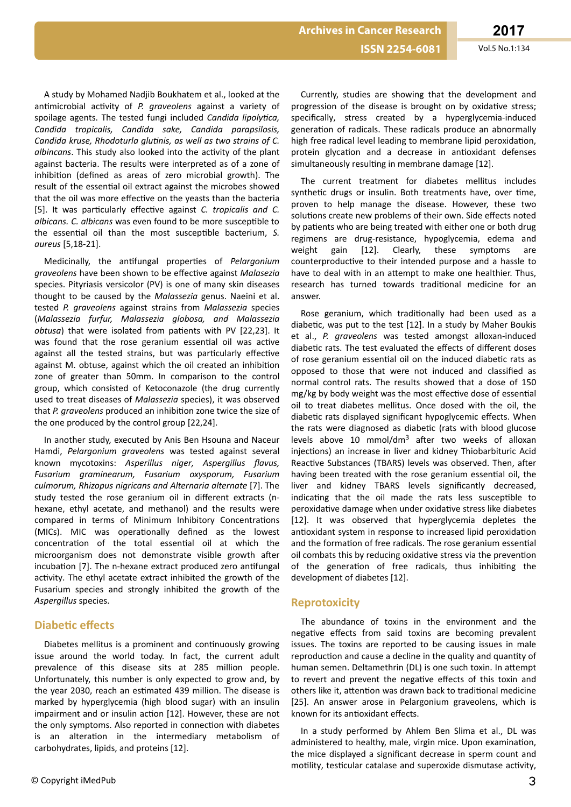**ISSN 2254-6081** Vol.5 No.1:134

A study by Mohamed Nadjib Boukhatem et al., looked at the antimicrobial activity of *P. graveolens* against a variety of spoilage agents. The tested fungi included *Candida lipolytica*, *Candida tropicalis, Candida sake, Candida parapsilosis, Candida kruse, Rhodoturla glutinis, as well as two strains of C. albincans*. This study also looked into the activity of the plant against bacteria. The results were interpreted as of a zone of inhibition (defined as areas of zero microbial growth). The result of the essential oil extract against the microbes showed that the oil was more effective on the yeasts than the bacteria [5]. It was particularly effective against *C. tropicalis and C. albicans. C. albicans* was even found to be more susceptible to the essential oil than the most susceptible bacterium, *S. aureus* [5,18-21].

Medicinally, the antifungal properties of *Pelargonium graveolens* have been shown to be effective against *Malasezia* species. Pityriasis versicolor (PV) is one of many skin diseases thought to be caused by the *Malassezia* genus. Naeini et al. tested *P. graveolens* against strains from *Malassezia* species (*Malassezia furfur, Malassezia globosa, and Malassezia obtusa*) that were isolated from patients with PV [22,23]. It was found that the rose geranium essential oil was active against all the tested strains, but was particularly effective against M. obtuse, against which the oil created an inhibition zone of greater than 50mm. In comparison to the control group, which consisted of Ketoconazole (the drug currently used to treat diseases of *Malassezia* species), it was observed that *P. graveolens* produced an inhibition zone twice the size of the one produced by the control group [22,24].

In another study, executed by Anis Ben Hsouna and Naceur Hamdi, *Pelargonium graveolens* was tested against several known mycotoxins: Asperillus niger, Aspergillus flavus, *Fusarium graminearum, Fusarium oxysporum, Fusarium culmorum, Rhizopus nigricans and Alternaria alternate* [7]. The study tested the rose geranium oil in different extracts (nhexane, ethyl acetate, and methanol) and the results were compared in terms of Minimum Inhibitory Concentrations (MICs). MIC was operationally defined as the lowest concentration of the total essential oil at which the microorganism does not demonstrate visible growth after incubation [7]. The n-hexane extract produced zero antifungal activity. The ethyl acetate extract inhibited the growth of the Fusarium species and strongly inhibited the growth of the *Aspergillus* species.

#### **Diabetic effects**

Diabetes mellitus is a prominent and continuously growing issue around the world today. In fact, the current adult prevalence of this disease sits at 285 million people. Unfortunately, this number is only expected to grow and, by the year 2030, reach an estimated 439 million. The disease is marked by hyperglycemia (high blood sugar) with an insulin impairment and or insulin action [12]. However, these are not the only symptoms. Also reported in connection with diabetes is an alteration in the intermediary metabolism of carbohydrates, lipids, and proteins [12].

Currently, studies are showing that the development and progression of the disease is brought on by oxidative stress; specifically, stress created by a hyperglycemia-induced generation of radicals. These radicals produce an abnormally high free radical level leading to membrane lipid peroxidation, protein glycation and a decrease in antioxidant defenses simultaneously resulting in membrane damage [12].

The current treatment for diabetes mellitus includes synthetic drugs or insulin. Both treatments have, over time, proven to help manage the disease. However, these two solutions create new problems of their own. Side effects noted by patients who are being treated with either one or both drug regimens are drug-resistance, hypoglycemia, edema and weight gain [12]. Clearly, these symptoms are counterproductive to their intended purpose and a hassle to have to deal with in an attempt to make one healthier. Thus, research has turned towards traditional medicine for an answer.

Rose geranium, which traditionally had been used as a diabetic, was put to the test [12]. In a study by Maher Boukis et al., *P. graveolens* was tested amongst alloxan-induced diabetic rats. The test evaluated the effects of different doses of rose geranium essential oil on the induced diabetic rats as opposed to those that were not induced and classified as normal control rats. The results showed that a dose of 150 mg/kg by body weight was the most effective dose of essential oil to treat diabetes mellitus. Once dosed with the oil, the diabetic rats displayed significant hypoglycemic effects. When the rats were diagnosed as diabetic (rats with blood glucose levels above 10 mmol/dm<sup>3</sup> after two weeks of alloxan injections) an increase in liver and kidney Thiobarbituric Acid Reactive Substances (TBARS) levels was observed. Then, after having been treated with the rose geranium essential oil, the liver and kidney TBARS levels significantly decreased, indicating that the oil made the rats less susceptible to peroxidative damage when under oxidative stress like diabetes [12]. It was observed that hyperglycemia depletes the antioxidant system in response to increased lipid peroxidation and the formation of free radicals. The rose geranium essential oil combats this by reducing oxidative stress via the prevention of the generation of free radicals, thus inhibiting the development of diabetes [12].

#### **Reprotoxicity**

The abundance of toxins in the environment and the negative effects from said toxins are becoming prevalent issues. The toxins are reported to be causing issues in male reproduction and cause a decline in the quality and quantity of human semen. Deltamethrin (DL) is one such toxin. In attempt to revert and prevent the negative effects of this toxin and others like it, attention was drawn back to traditional medicine [25]. An answer arose in Pelargonium graveolens, which is known for its antioxidant effects.

In a study performed by Ahlem Ben Slima et al., DL was administered to healthy, male, virgin mice. Upon examination. the mice displayed a significant decrease in sperm count and motility, testicular catalase and superoxide dismutase activity,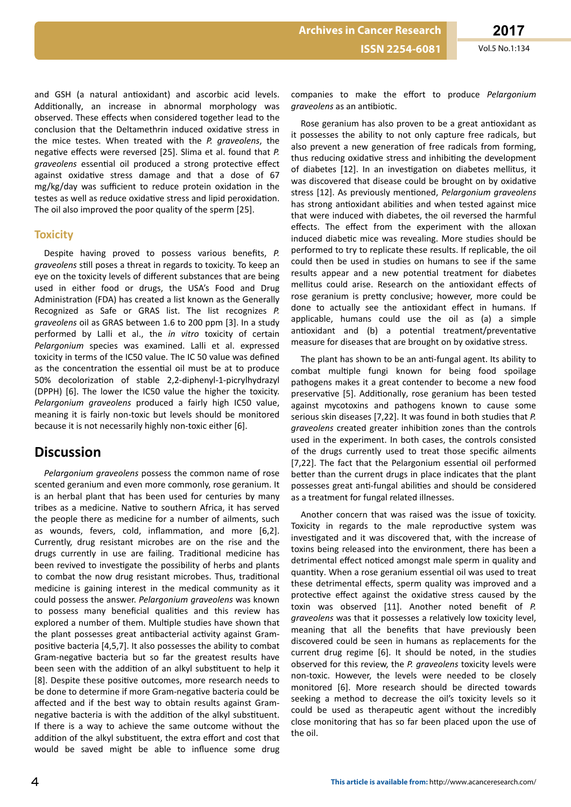and GSH (a natural antioxidant) and ascorbic acid levels. Additionally, an increase in abnormal morphology was observed. These effects when considered together lead to the conclusion that the Deltamethrin induced oxidative stress in the mice testes. When treated with the *P. graveolens*, the negative effects were reversed [25]. Slima et al. found that *P. graveolens* essential oil produced a strong protective effect against oxidative stress damage and that a dose of 67 mg/kg/day was sufficient to reduce protein oxidation in the testes as well as reduce oxidative stress and lipid peroxidation. The oil also improved the poor quality of the sperm [25].

#### **Toxicity**

Despite having proved to possess various benefits, P. *graveolens* ƐƟůů poses a threat in regards to toxicity. To keep an eye on the toxicity levels of different substances that are being used in either food or drugs, the USA's Food and Drug Administration (FDA) has created a list known as the Generally Recognized as Safe or GRAS list. The list recognizes *P. graveolens* oil as GRAS between 1.6 to 200 ppm [3]. In a study performed by Lalli et al., the *in vitro* toxicity of certain *Pelargonium* species was examined. Lalli et al. expressed toxicity in terms of the IC50 value. The IC 50 value was defined as the concentration the essential oil must be at to produce 50% decolorization of stable 2,2-diphenyl-1-picrylhydrazyl (DPPH) [6]. The lower the IC50 value the higher the toxicity. *Pelargonium graveolens* produced a fairly high IC50 value, meaning it is fairly non-toxic but levels should be monitored because it is not necessarily highly non-toxic either [6].

## **Discussion**

*Pelargonium graveolens* possess the common name of rose scented geranium and even more commonly, rose geranium. It is an herbal plant that has been used for centuries by many tribes as a medicine. Native to southern Africa, it has served the people there as medicine for a number of ailments, such as wounds, fevers, cold, inflammation, and more  $[6,2]$ . Currently, drug resistant microbes are on the rise and the drugs currently in use are failing. Traditional medicine has been revived to investigate the possibility of herbs and plants to combat the now drug resistant microbes. Thus, traditional medicine is gaining interest in the medical community as it could possess the answer. *Pelargonium graveolens* was known to possess many beneficial qualities and this review has explored a number of them. Multiple studies have shown that the plant possesses great antibacterial activity against Grampositive bacteria [4,5,7]. It also possesses the ability to combat Gram-negative bacteria but so far the greatest results have been seen with the addition of an alkyl substituent to help it [8]. Despite these positive outcomes, more research needs to be done to determine if more Gram-negative bacteria could be affected and if the best way to obtain results against Gramnegative bacteria is with the addition of the alkyl substituent. If there is a way to achieve the same outcome without the addition of the alkyl substituent, the extra effort and cost that would be saved might be able to influence some drug companies to make the effort to produce *Pelargonium graveolens* as an antibiotic.

Rose geranium has also proven to be a great antioxidant as it possesses the ability to not only capture free radicals, but also prevent a new generation of free radicals from forming, thus reducing oxidative stress and inhibiting the development of diabetes [12]. In an investigation on diabetes mellitus, it was discovered that disease could be brought on by oxidative stress [12]. As previously mentioned, Pelargonium graveolens has strong antioxidant abilities and when tested against mice that were induced with diabetes, the oil reversed the harmful effects. The effect from the experiment with the alloxan induced diabetic mice was revealing. More studies should be performed to try to replicate these results. If replicable, the oil could then be used in studies on humans to see if the same results appear and a new potential treatment for diabetes mellitus could arise. Research on the antioxidant effects of rose geranium is pretty conclusive; however, more could be done to actually see the antioxidant effect in humans. If applicable, humans could use the oil as (a) a simple antioxidant and (b) a potential treatment/preventative measure for diseases that are brought on by oxidative stress.

The plant has shown to be an anti-fungal agent. Its ability to combat multiple fungi known for being food spoilage pathogens makes it a great contender to become a new food preservative [5]. Additionally, rose geranium has been tested against mycotoxins and pathogens known to cause some serious skin diseases [7,22]. It was found in both studies that *P. graveolens* created greater inhibition zones than the controls used in the experiment. In both cases, the controls consisted of the drugs currently used to treat those specific ailments [7,22]. The fact that the Pelargonium essential oil performed better than the current drugs in place indicates that the plant possesses great anti-fungal abilities and should be considered as a treatment for fungal related illnesses.

Another concern that was raised was the issue of toxicity. Toxicity in regards to the male reproductive system was investigated and it was discovered that, with the increase of toxins being released into the environment, there has been a detrimental effect noticed amongst male sperm in quality and quantity. When a rose geranium essential oil was used to treat these detrimental effects, sperm quality was improved and a protective effect against the oxidative stress caused by the toxin was observed [11]. Another noted benefit of *P. graveolens* was that it possesses a relatively low toxicity level, meaning that all the benefits that have previously been discovered could be seen in humans as replacements for the current drug regime [6]. It should be noted, in the studies observed for this review, the *P. graveolens* toxicity levels were non-toxic. However, the levels were needed to be closely monitored [6]. More research should be directed towards seeking a method to decrease the oil's toxicity levels so it could be used as therapeutic agent without the incredibly close monitoring that has so far been placed upon the use of the oil.